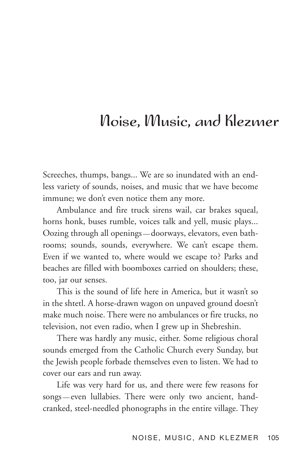## Noise, Music, and Klezmer

Screeches, thumps, bangs... We are so inundated with an endless variety of sounds, noises, and music that we have become immune; we don't even notice them any more.

Ambulance and fire truck sirens wail, car brakes squeal, horns honk, buses rumble, voices talk and yell, music plays... Oozing through all openings — doorways, elevators, even bathrooms; sounds, sounds, everywhere. We can't escape them. Even if we wanted to, where would we escape to? Parks and beaches are filled with boomboxes carried on shoulders; these, too, jar our senses.

This is the sound of life here in America, but it wasn't so in the shtetl. A horse-drawn wagon on unpaved ground doesn't make much noise. There were no ambulances or fire trucks, no television, not even radio, when I grew up in Shebreshin.

There was hardly any music, either. Some religious choral sounds emerged from the Catholic Church every Sunday, but the Jewish people forbade themselves even to listen. We had to cover our ears and run away.

Life was very hard for us, and there were few reasons for songs — even lullabies. There were only two ancient, handcranked, steel-needled phonographs in the entire village. They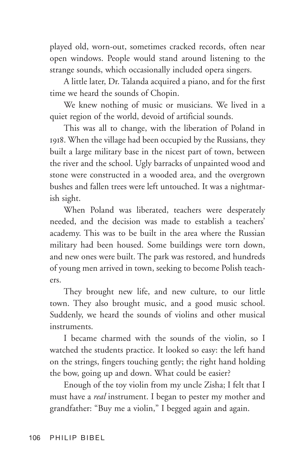played old, worn-out, sometimes cracked records, often near open windows. People would stand around listening to the strange sounds, which occasionally included opera singers.

A little later, Dr. Talanda acquired a piano, and for the first time we heard the sounds of Chopin.

We knew nothing of music or musicians. We lived in a quiet region of the world, devoid of artificial sounds.

This was all to change, with the liberation of Poland in 1918. When the village had been occupied by the Russians, they built a large military base in the nicest part of town, between the river and the school. Ugly barracks of unpainted wood and stone were constructed in a wooded area, and the overgrown bushes and fallen trees were left untouched. It was a nightmarish sight.

When Poland was liberated, teachers were desperately needed, and the decision was made to establish a teachers' academy. This was to be built in the area where the Russian military had been housed. Some buildings were torn down, and new ones were built. The park was restored, and hundreds of young men arrived in town, seeking to become Polish teachers.

They brought new life, and new culture, to our little town. They also brought music, and a good music school. Suddenly, we heard the sounds of violins and other musical instruments.

I became charmed with the sounds of the violin, so I watched the students practice. It looked so easy: the left hand on the strings, fingers touching gently; the right hand holding the bow, going up and down. What could be easier?

Enough of the toy violin from my uncle Zisha; I felt that I must have a *real* instrument. I began to pester my mother and grandfather: "Buy me a violin," I begged again and again.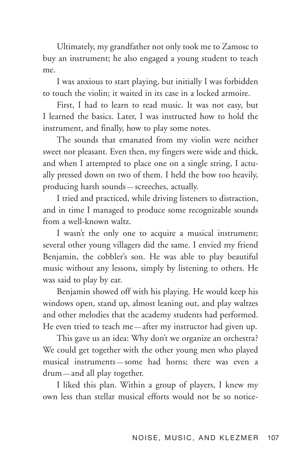Ultimately, my grandfather not only took me to Zamosc to buy an instrument; he also engaged a young student to teach me.

I was anxious to start playing, but initially I was forbidden to touch the violin; it waited in its case in a locked armoire.

First, I had to learn to read music. It was not easy, but I learned the basics. Later, I was instructed how to hold the instrument, and finally, how to play some notes.

The sounds that emanated from my violin were neither sweet nor pleasant. Even then, my fingers were wide and thick, and when I attempted to place one on a single string, I actually pressed down on two of them. I held the bow too heavily, producing harsh sounds — screeches, actually.

I tried and practiced, while driving listeners to distraction, and in time I managed to produce some recognizable sounds from a well-known waltz.

I wasn't the only one to acquire a musical instrument; several other young villagers did the same. I envied my friend Benjamin, the cobbler's son. He was able to play beautiful music without any lessons, simply by listening to others. He was said to play by ear.

Benjamin showed off with his playing. He would keep his windows open, stand up, almost leaning out, and play waltzes and other melodies that the academy students had performed. He even tried to teach me—after my instructor had given up.

This gave us an idea: Why don't we organize an orchestra? We could get together with the other young men who played musical instruments — some had horns; there was even a drum — and all play together.

I liked this plan. Within a group of players, I knew my own less than stellar musical efforts would not be so notice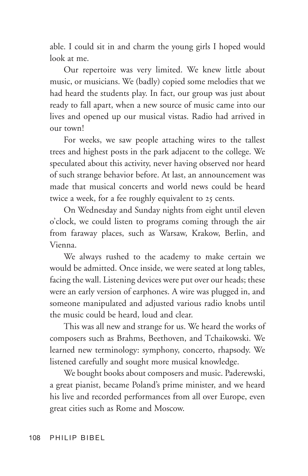able. I could sit in and charm the young girls I hoped would look at me.

Our repertoire was very limited. We knew little about music, or musicians. We (badly) copied some melodies that we had heard the students play. In fact, our group was just about ready to fall apart, when a new source of music came into our lives and opened up our musical vistas. Radio had arrived in our town!

For weeks, we saw people attaching wires to the tallest trees and highest posts in the park adjacent to the college. We speculated about this activity, never having observed nor heard of such strange behavior before. At last, an announcement was made that musical concerts and world news could be heard twice a week, for a fee roughly equivalent to 25 cents.

On Wednesday and Sunday nights from eight until eleven o'clock, we could listen to programs coming through the air from faraway places, such as Warsaw, Krakow, Berlin, and Vienna.

We always rushed to the academy to make certain we would be admitted. Once inside, we were seated at long tables, facing the wall. Listening devices were put over our heads; these were an early version of earphones. A wire was plugged in, and someone manipulated and adjusted various radio knobs until the music could be heard, loud and clear.

This was all new and strange for us. We heard the works of composers such as Brahms, Beethoven, and Tchaikowski. We learned new terminology: symphony, concerto, rhapsody. We listened carefully and sought more musical knowledge.

We bought books about composers and music. Paderewski, a great pianist, became Poland's prime minister, and we heard his live and recorded performances from all over Europe, even great cities such as Rome and Moscow.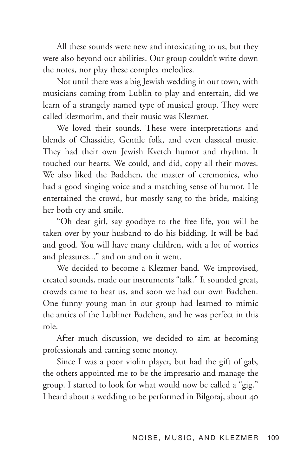All these sounds were new and intoxicating to us, but they were also beyond our abilities. Our group couldn't write down the notes, nor play these complex melodies.

Not until there was a big Jewish wedding in our town, with musicians coming from Lublin to play and entertain, did we learn of a strangely named type of musical group. They were called klezmorim, and their music was Klezmer.

We loved their sounds. These were interpretations and blends of Chassidic, Gentile folk, and even classical music. They had their own Jewish Kvetch humor and rhythm. It touched our hearts. We could, and did, copy all their moves. We also liked the Badchen, the master of ceremonies, who had a good singing voice and a matching sense of humor. He entertained the crowd, but mostly sang to the bride, making her both cry and smile.

"Oh dear girl, say goodbye to the free life, you will be taken over by your husband to do his bidding. It will be bad and good. You will have many children, with a lot of worries and pleasures..." and on and on it went.

We decided to become a Klezmer band. We improvised, created sounds, made our instruments "talk." It sounded great, crowds came to hear us, and soon we had our own Badchen. One funny young man in our group had learned to mimic the antics of the Lubliner Badchen, and he was perfect in this role.

After much discussion, we decided to aim at becoming professionals and earning some money.

Since I was a poor violin player, but had the gift of gab, the others appointed me to be the impresario and manage the group. I started to look for what would now be called a "gig." I heard about a wedding to be performed in Bilgoraj, about 40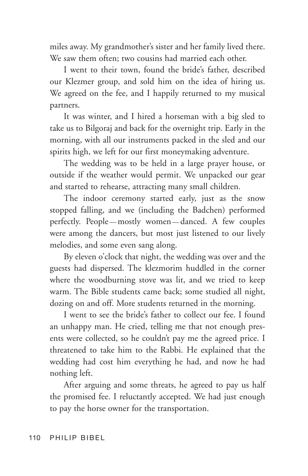miles away. My grandmother's sister and her family lived there. We saw them often; two cousins had married each other.

I went to their town, found the bride's father, described our Klezmer group, and sold him on the idea of hiring us. We agreed on the fee, and I happily returned to my musical partners.

It was winter, and I hired a horseman with a big sled to take us to Bilgoraj and back for the overnight trip. Early in the morning, with all our instruments packed in the sled and our spirits high, we left for our first moneymaking adventure.

The wedding was to be held in a large prayer house, or outside if the weather would permit. We unpacked our gear and started to rehearse, attracting many small children.

The indoor ceremony started early, just as the snow stopped falling, and we (including the Badchen) performed perfectly. People — mostly women — danced. A few couples were among the dancers, but most just listened to our lively melodies, and some even sang along.

By eleven o'clock that night, the wedding was over and the guests had dispersed. The klezmorim huddled in the corner where the woodburning stove was lit, and we tried to keep warm. The Bible students came back; some studied all night, dozing on and off. More students returned in the morning.

I went to see the bride's father to collect our fee. I found an unhappy man. He cried, telling me that not enough presents were collected, so he couldn't pay me the agreed price. I threatened to take him to the Rabbi. He explained that the wedding had cost him everything he had, and now he had nothing left.

After arguing and some threats, he agreed to pay us half the promised fee. I reluctantly accepted. We had just enough to pay the horse owner for the transportation.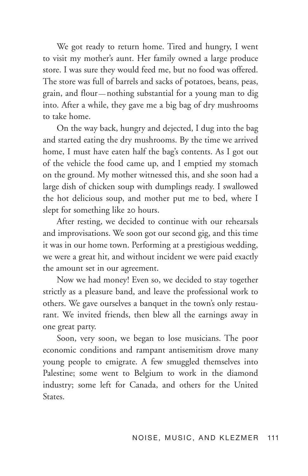We got ready to return home. Tired and hungry, I went to visit my mother's aunt. Her family owned a large produce store. I was sure they would feed me, but no food was offered. The store was full of barrels and sacks of potatoes, beans, peas, grain, and flour — nothing substantial for a young man to dig into. After a while, they gave me a big bag of dry mushrooms to take home.

On the way back, hungry and dejected, I dug into the bag and started eating the dry mushrooms. By the time we arrived home, I must have eaten half the bag's contents. As I got out of the vehicle the food came up, and I emptied my stomach on the ground. My mother witnessed this, and she soon had a large dish of chicken soup with dumplings ready. I swallowed the hot delicious soup, and mother put me to bed, where I slept for something like 20 hours.

After resting, we decided to continue with our rehearsals and improvisations. We soon got our second gig, and this time it was in our home town. Performing at a prestigious wedding, we were a great hit, and without incident we were paid exactly the amount set in our agreement.

Now we had money! Even so, we decided to stay together strictly as a pleasure band, and leave the professional work to others. We gave ourselves a banquet in the town's only restaurant. We invited friends, then blew all the earnings away in one great party.

Soon, very soon, we began to lose musicians. The poor economic conditions and rampant antisemitism drove many young people to emigrate. A few smuggled themselves into Palestine; some went to Belgium to work in the diamond industry; some left for Canada, and others for the United States.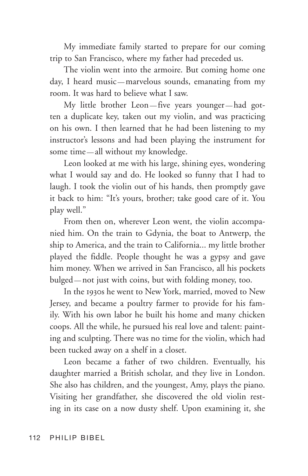My immediate family started to prepare for our coming trip to San Francisco, where my father had preceded us.

The violin went into the armoire. But coming home one day, I heard music—marvelous sounds, emanating from my room. It was hard to believe what I saw.

My little brother Leon — five years younger — had gotten a duplicate key, taken out my violin, and was practicing on his own. I then learned that he had been listening to my instructor's lessons and had been playing the instrument for some time — all without my knowledge.

Leon looked at me with his large, shining eyes, wondering what I would say and do. He looked so funny that I had to laugh. I took the violin out of his hands, then promptly gave it back to him: "It's yours, brother; take good care of it. You play well."

From then on, wherever Leon went, the violin accompanied him. On the train to Gdynia, the boat to Antwerp, the ship to America, and the train to California... my little brother played the fiddle. People thought he was a gypsy and gave him money. When we arrived in San Francisco, all his pockets bulged — not just with coins, but with folding money, too.

In the 1930s he went to New York, married, moved to New Jersey, and became a poultry farmer to provide for his family. With his own labor he built his home and many chicken coops. All the while, he pursued his real love and talent: painting and sculpting. There was no time for the violin, which had been tucked away on a shelf in a closet.

Leon became a father of two children. Eventually, his daughter married a British scholar, and they live in London. She also has children, and the youngest, Amy, plays the piano. Visiting her grandfather, she discovered the old violin resting in its case on a now dusty shelf. Upon examining it, she